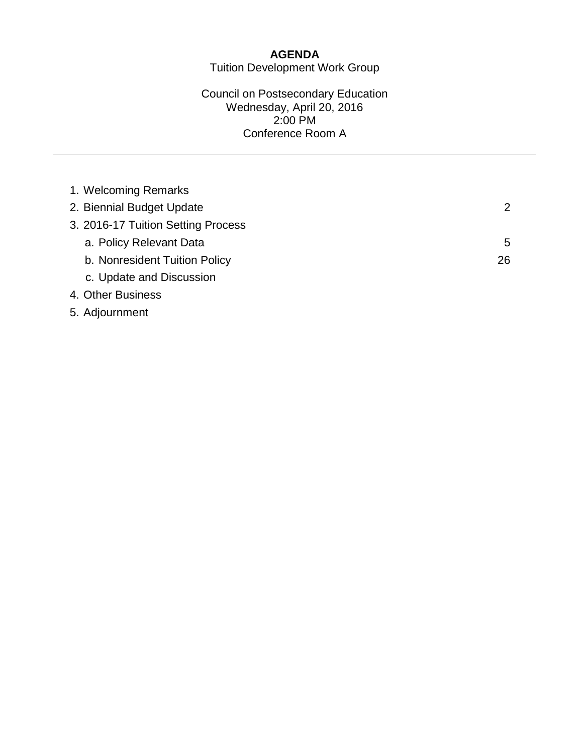# **AGENDA**

Tuition Development Work Group

### Council on Postsecondary Education Wednesday, April 20, 2016 2:00 PM Conference Room A

| 1. Welcoming Remarks               |    |
|------------------------------------|----|
| 2. Biennial Budget Update          | 2  |
| 3. 2016-17 Tuition Setting Process |    |
| a. Policy Relevant Data            | 5  |
| b. Nonresident Tuition Policy      | 26 |
| c. Update and Discussion           |    |
| 4. Other Business                  |    |
| 5. Adjournment                     |    |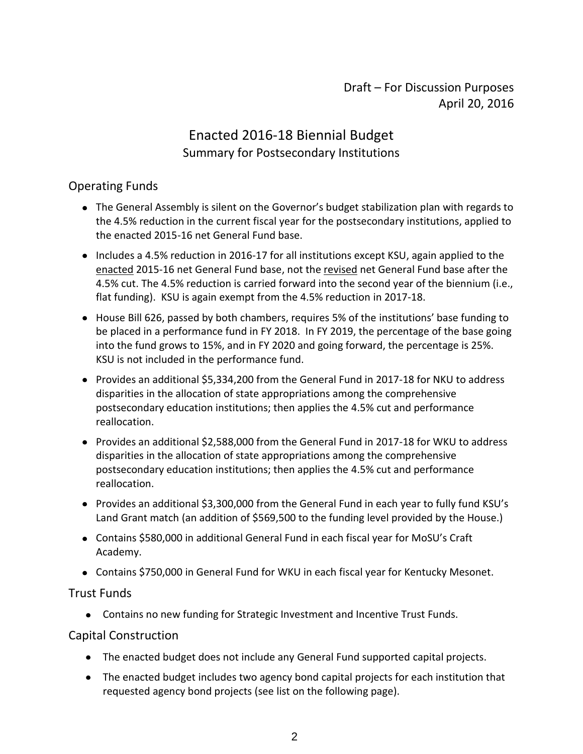# Draft – For Discussion Purposes April 20, 2016

# Enacted 2016-18 Biennial Budget Summary for Postsecondary Institutions

# Operating Funds

- The General Assembly is silent on the Governor's budget stabilization plan with regards to the 4.5% reduction in the current fiscal year for the postsecondary institutions, applied to the enacted 2015-16 net General Fund base.
- Includes a 4.5% reduction in 2016-17 for all institutions except KSU, again applied to the enacted 2015-16 net General Fund base, not the revised net General Fund base after the 4.5% cut. The 4.5% reduction is carried forward into the second year of the biennium (i.e., flat funding). KSU is again exempt from the 4.5% reduction in 2017-18.
- House Bill 626, passed by both chambers, requires 5% of the institutions' base funding to be placed in a performance fund in FY 2018. In FY 2019, the percentage of the base going into the fund grows to 15%, and in FY 2020 and going forward, the percentage is 25%. KSU is not included in the performance fund.
- Provides an additional \$5,334,200 from the General Fund in 2017-18 for NKU to address disparities in the allocation of state appropriations among the comprehensive postsecondary education institutions; then applies the 4.5% cut and performance reallocation.
- Provides an additional \$2,588,000 from the General Fund in 2017-18 for WKU to address disparities in the allocation of state appropriations among the comprehensive postsecondary education institutions; then applies the 4.5% cut and performance reallocation.
- Provides an additional \$3,300,000 from the General Fund in each year to fully fund KSU's Land Grant match (an addition of \$569,500 to the funding level provided by the House.)
- Contains \$580,000 in additional General Fund in each fiscal year for MoSU's Craft Academy.
- Contains \$750,000 in General Fund for WKU in each fiscal year for Kentucky Mesonet.

### Trust Funds

Contains no new funding for Strategic Investment and Incentive Trust Funds.

### Capital Construction

- The enacted budget does not include any General Fund supported capital projects.
- The enacted budget includes two agency bond capital projects for each institution that requested agency bond projects (see list on the following page).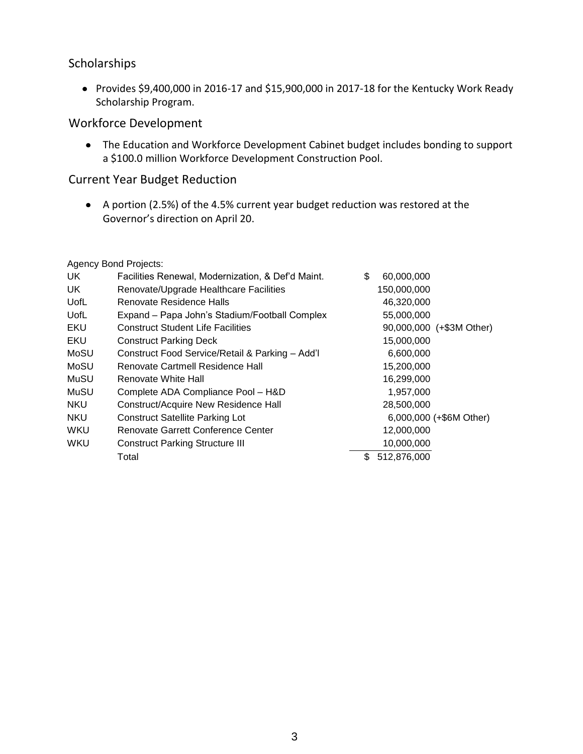### Scholarships

Provides \$9,400,000 in 2016-17 and \$15,900,000 in 2017-18 for the Kentucky Work Ready Scholarship Program.

### Workforce Development

The Education and Workforce Development Cabinet budget includes bonding to support a \$100.0 million Workforce Development Construction Pool.

## Current Year Budget Reduction

A portion (2.5%) of the 4.5% current year budget reduction was restored at the Governor's direction on April 20.

Agency Bond Projects:

| UK.        | Facilities Renewal, Modernization, & Def'd Maint. | \$<br>60,000,000         |
|------------|---------------------------------------------------|--------------------------|
| UK         | Renovate/Upgrade Healthcare Facilities            | 150,000,000              |
| UofL       | Renovate Residence Halls                          | 46,320,000               |
| UofL       | Expand - Papa John's Stadium/Football Complex     | 55,000,000               |
| EKU        | <b>Construct Student Life Facilities</b>          | 90,000,000 (+\$3M Other) |
| <b>EKU</b> | <b>Construct Parking Deck</b>                     | 15,000,000               |
| MoSU       | Construct Food Service/Retail & Parking - Add'l   | 6,600,000                |
| MoSU       | Renovate Cartmell Residence Hall                  | 15,200,000               |
| MuSU       | Renovate White Hall                               | 16,299,000               |
| MuSU       | Complete ADA Compliance Pool - H&D                | 1.957.000                |
| <b>NKU</b> | <b>Construct/Acquire New Residence Hall</b>       | 28,500,000               |
| <b>NKU</b> | <b>Construct Satellite Parking Lot</b>            | 6,000,000 (+\$6M Other)  |
| WKU        | Renovate Garrett Conference Center                | 12,000,000               |
| WKU        | <b>Construct Parking Structure III</b>            | 10,000,000               |
|            | Total                                             | 512,876,000<br>\$        |
|            |                                                   |                          |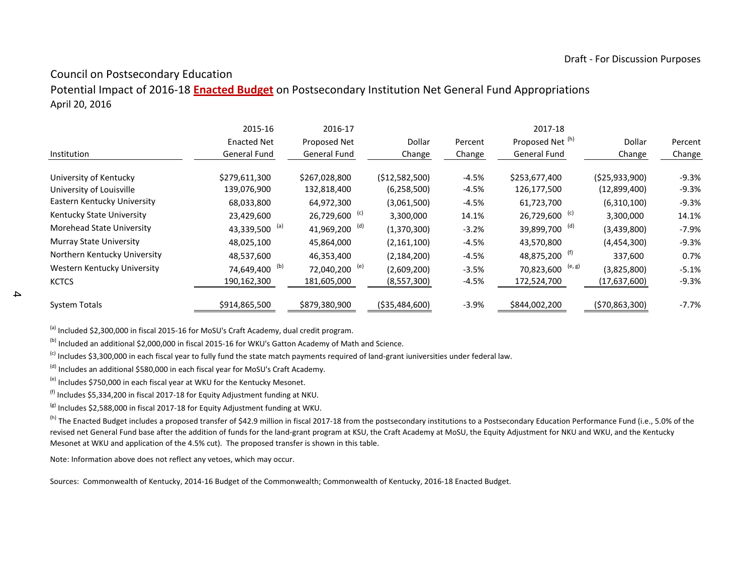### Council on Postsecondary Education

Potential Impact of 2016-18 **Enacted Budget** on Postsecondary Institution Net General Fund Appropriations April 20, 2016

|                                | 2015-16                   | 2016-17                   |                 |         | 2017-18                      |                 |         |
|--------------------------------|---------------------------|---------------------------|-----------------|---------|------------------------------|-----------------|---------|
|                                | <b>Enacted Net</b>        | Proposed Net              | Dollar          | Percent | Proposed Net (h)             | Dollar          | Percent |
| Institution                    | General Fund              | General Fund              | Change          | Change  | <b>General Fund</b>          | Change          | Change  |
| University of Kentucky         | \$279,611,300             | \$267,028,800             | (512,582,500)   | $-4.5%$ | \$253,677,400                | (525, 933, 900) | $-9.3%$ |
| University of Louisville       | 139,076,900               | 132,818,400               | (6,258,500)     | $-4.5%$ | 126,177,500                  | (12,899,400)    | $-9.3%$ |
| Eastern Kentucky University    | 68,033,800                | 64,972,300                | (3,061,500)     | $-4.5%$ | 61,723,700                   | (6,310,100)     | $-9.3%$ |
| Kentucky State University      | 23,429,600                | 26,729,600 <sup>(c)</sup> | 3,300,000       | 14.1%   | 26,729,600 <sup>(c)</sup>    | 3,300,000       | 14.1%   |
| Morehead State University      | 43,339,500 (a)            | 41,969,200 <sup>(d)</sup> | (1,370,300)     | $-3.2%$ | 39,899,700 <sup>(d)</sup>    | (3,439,800)     | $-7.9%$ |
| <b>Murray State University</b> | 48,025,100                | 45,864,000                | (2, 161, 100)   | $-4.5%$ | 43,570,800                   | (4,454,300)     | $-9.3%$ |
| Northern Kentucky University   | 48,537,600                | 46,353,400                | (2, 184, 200)   | $-4.5%$ | 48,875,200 <sup>(f)</sup>    | 337,600         | 0.7%    |
| Western Kentucky University    | 74,649,400 <sup>(b)</sup> | 72,040,200 <sup>(e)</sup> | (2,609,200)     | $-3.5%$ | 70,823,600 <sup>(e, g)</sup> | (3,825,800)     | $-5.1%$ |
| <b>KCTCS</b>                   | 190,162,300               | 181,605,000               | (8,557,300)     | $-4.5%$ | 172,524,700                  | (17,637,600)    | $-9.3%$ |
| <b>System Totals</b>           | \$914,865,500             | \$879,380,900             | ( \$35,484,600) | $-3.9%$ | \$844,002,200                | (570,863,300)   | $-7.7%$ |

(a) Included \$2,300,000 in fiscal 2015-16 for MoSU's Craft Academy, dual credit program.

(b) Included an additional \$2,000,000 in fiscal 2015-16 for WKU's Gatton Academy of Math and Science.

<sup>(c)</sup> Includes \$3,300,000 in each fiscal year to fully fund the state match payments required of land-grant iuniversities under federal law.

 $<sup>(d)</sup>$  Includes an additional \$580,000 in each fiscal year for MoSU's Craft Academy.</sup>

(e) Includes \$750,000 in each fiscal year at WKU for the Kentucky Mesonet.

 $<sup>(f)</sup>$  Includes \$5,334,200 in fiscal 2017-18 for Equity Adjustment funding at NKU.</sup>

 $^{(g)}$  Includes \$2,588,000 in fiscal 2017-18 for Equity Adjustment funding at WKU.

(h) The Enacted Budget includes a proposed transfer of \$42.9 million in fiscal 2017-18 from the postsecondary institutions to a Postsecondary Education Performance Fund (i.e., 5.0% of the revised net General Fund base after the addition of funds for the land-grant program at KSU, the Craft Academy at MoSU, the Equity Adjustment for NKU and WKU, and the Kentucky Mesonet at WKU and application of the 4.5% cut). The proposed transfer is shown in this table.

Note: Information above does not reflect any vetoes, which may occur.

Sources: Commonwealth of Kentucky, 2014-16 Budget of the Commonwealth; Commonwealth of Kentucky, 2016-18 Enacted Budget.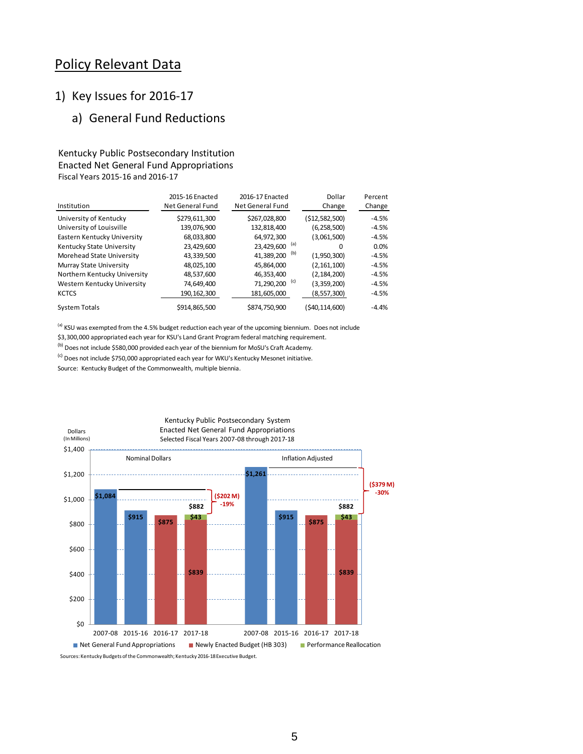# Policy Relevant Data

### 1) Key Issues for 2016-17

# a) General Fund Reductions

### Kentucky Public Postsecondary Institution Enacted Net General Fund Appropriations Fiscal Years 2015-16 and 2016-17

|                              | 2015-16 Enacted  | 2016-17 Enacted           | Dollar         | Percent |
|------------------------------|------------------|---------------------------|----------------|---------|
| Institution                  | Net General Fund | Net General Fund          | Change         | Change  |
| University of Kentucky       | \$279,611,300    | \$267,028,800             | (\$12,582,500) | $-4.5%$ |
| University of Louisville     | 139,076,900      | 132,818,400               | (6, 258, 500)  | $-4.5%$ |
| Eastern Kentucky University  | 68,033,800       | 64,972,300                | (3,061,500)    | $-4.5%$ |
| Kentucky State University    | 23,429,600       | 23,429,600 (a)            | 0              | 0.0%    |
| Morehead State University    | 43,339,500       | (b)<br>41,389,200         | (1,950,300)    | $-4.5%$ |
| Murray State University      | 48,025,100       | 45,864,000                | (2, 161, 100)  | $-4.5%$ |
| Northern Kentucky University | 48,537,600       | 46,353,400                | (2, 184, 200)  | $-4.5%$ |
| Western Kentucky University  | 74,649,400       | 71,290,200 <sup>(c)</sup> | (3,359,200)    | $-4.5%$ |
| <b>KCTCS</b>                 | 190, 162, 300    | 181,605,000               | (8, 557, 300)  | $-4.5%$ |
| <b>System Totals</b>         | \$914,865,500    | \$874,750,900             | (\$40,114,600) | $-4.4%$ |

<sup>(a)</sup> KSU was exempted from the 4.5% budget reduction each year of the upcoming biennium. Does not include \$3,300,000 appropriated each year for KSU's Land Grant Program federal matching requirement.

(b) Does not include \$580,000 provided each year of the biennium for MoSU's Craft Academy.

 $^{(c)}$  Does not include \$750,000 appropriated each year for WKU's Kentucky Mesonet initiative.

Source: Kentucky Budget of the Commonwealth, multiple biennia.

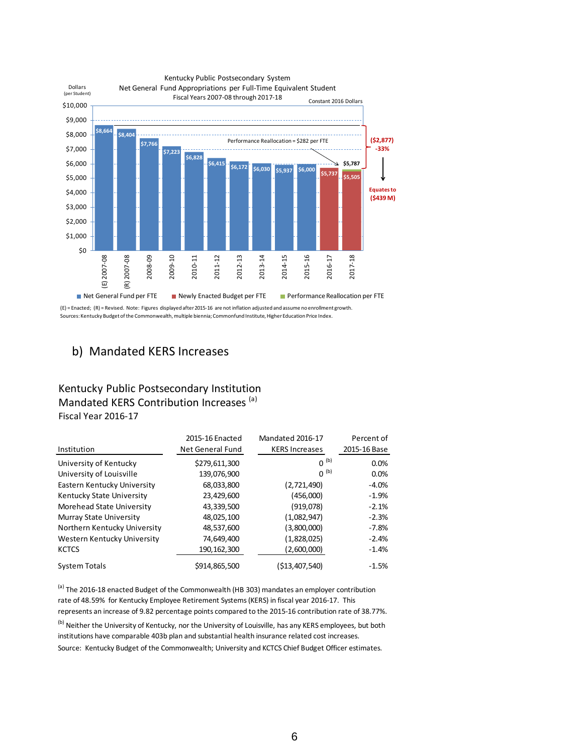

Sources: Kentucky Budget of the Commonwealth, multiple biennia; Commonfund Institute, Higher Education Price Index.

### b) Mandated KERS Increases

### Kentucky Public Postsecondary Institution Mandated KERS Contribution Increases (a) Fiscal Year 2016-17

|                                | 2015-16 Enacted  | Mandated 2016-17      | Percent of   |
|--------------------------------|------------------|-----------------------|--------------|
| Institution                    | Net General Fund | <b>KERS Increases</b> | 2015-16 Base |
| University of Kentucky         | \$279,611,300    | $0^{(b)}$             | 0.0%         |
| University of Louisville       | 139,076,900      | $0^{(b)}$             | 0.0%         |
| Eastern Kentucky University    | 68,033,800       | (2,721,490)           | $-4.0%$      |
| Kentucky State University      | 23,429,600       | (456,000)             | $-1.9%$      |
| Morehead State University      | 43,339,500       | (919,078)             | $-2.1%$      |
| <b>Murray State University</b> | 48,025,100       | (1,082,947)           | $-2.3%$      |
| Northern Kentucky University   | 48,537,600       | (3,800,000)           | $-7.8%$      |
| Western Kentucky University    | 74,649,400       | (1,828,025)           | $-2.4%$      |
| <b>KCTCS</b>                   | 190, 162, 300    | (2,600,000)           | $-1.4%$      |
| <b>System Totals</b>           | \$914,865,500    | (\$13.407.540)        | $-1.5%$      |

<sup>(a)</sup> The 2016-18 enacted Budget of the Commonwealth (HB 303) mandates an employer contribution rate of 48.59% for Kentucky Employee Retirement Systems (KERS) in fiscal year 2016-17. This represents an increase of 9.82 percentage points compared to the 2015-16 contribution rate of 38.77%.

Source: Kentucky Budget of the Commonwealth; University and KCTCS Chief Budget Officer estimates. <sup>(b)</sup> Neither the University of Kentucky, nor the University of Louisville, has any KERS employees, but both institutions have comparable 403b plan and substantial health insurance related cost increases.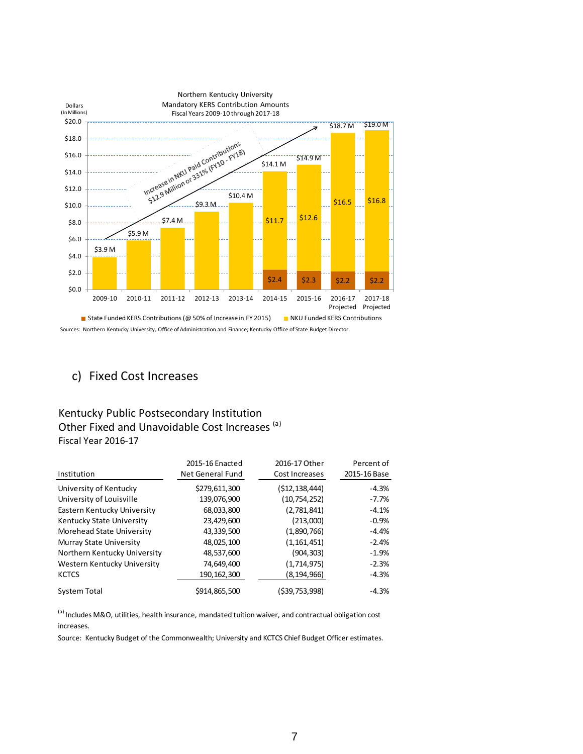

# c) Fixed Cost Increases

### Kentucky Public Postsecondary Institution Other Fixed and Unavoidable Cost Increases<sup>(a)</sup> Fiscal Year 2016-17

|                                | 2016-17 Other<br>2015-16 Enacted |                | Percent of   |
|--------------------------------|----------------------------------|----------------|--------------|
| Institution                    | Net General Fund                 | Cost Increases | 2015-16 Base |
| University of Kentucky         | \$279,611,300                    | (\$12,138,444) | $-4.3%$      |
| University of Louisville       | 139,076,900                      | (10, 754, 252) | $-7.7%$      |
| Eastern Kentucky University    | 68,033,800                       | (2,781,841)    | $-4.1%$      |
| Kentucky State University      | 23,429,600                       | (213,000)      | $-0.9%$      |
| Morehead State University      | 43,339,500                       | (1,890,766)    | $-4.4%$      |
| <b>Murray State University</b> | 48,025,100                       | (1, 161, 451)  | $-2.4%$      |
| Northern Kentucky University   | 48,537,600                       | (904, 303)     | $-1.9%$      |
| Western Kentucky University    | 74,649,400                       | (1,714,975)    | $-2.3%$      |
| <b>KCTCS</b>                   | 190, 162, 300                    | (8, 194, 966)  | $-4.3%$      |
| System Total                   | \$914,865,500                    | (\$39,753,998) | $-4.3%$      |

<sup>(a)</sup> Includes M&O, utilities, health insurance, mandated tuition waiver, and contractual obligation cost increases.

Source: Kentucky Budget of the Commonwealth; University and KCTCS Chief Budget Officer estimates.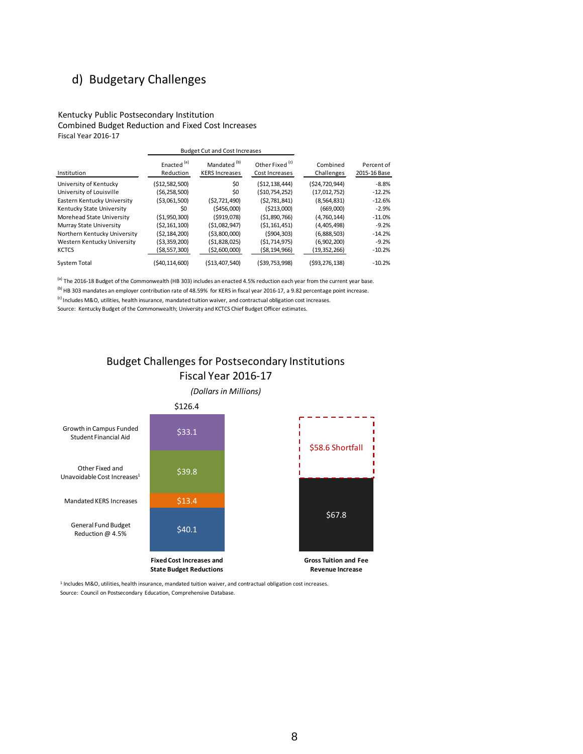# d) Budgetary Challenges

Kentucky Public Postsecondary Institution Combined Budget Reduction and Fixed Cost Increases Fiscal Year 2016-17

|                              | <b>Budget Cut and Cost Increases</b> |                                                  |                                              |                        |                            |
|------------------------------|--------------------------------------|--------------------------------------------------|----------------------------------------------|------------------------|----------------------------|
| Institution                  | Enacted <sup>(a)</sup><br>Reduction  | Mandated <sup>(b)</sup><br><b>KERS Increases</b> | Other Fixed <sup>(c)</sup><br>Cost Increases | Combined<br>Challenges | Percent of<br>2015-16 Base |
| University of Kentucky       | ( \$12,582,500)                      | \$0                                              | (\$12,138,444)                               | (\$24,720,944)         | $-8.8%$                    |
| University of Louisville     | (\$6,258,500)                        | \$0                                              | (\$10,754,252)                               | (17, 012, 752)         | $-12.2%$                   |
| Eastern Kentucky University  | ( \$3,061,500)                       | (52, 721, 490)                                   | (52,781,841)                                 | (8,564,831)            | $-12.6%$                   |
| Kentucky State University    | \$0                                  | (5456,000)                                       | ( \$213,000)                                 | (669.000)              | $-2.9%$                    |
| Morehead State University    | (51,950,300)                         | (5919,078)                                       | ( \$1,890,766)                               | (4,760,144)            | $-11.0%$                   |
| Murray State University      | (52, 161, 100)                       | (51,082,947)                                     | (51, 161, 451)                               | (4,405,498)            | $-9.2%$                    |
| Northern Kentucky University | (52, 184, 200)                       | ( \$3,800,000)                                   | (5904, 303)                                  | (6,888,503)            | $-14.2%$                   |
| Western Kentucky University  | (53, 359, 200)                       | (51,828,025)                                     | (51, 714, 975)                               | (6,902,200)            | $-9.2%$                    |
| <b>KCTCS</b>                 | (\$8,557,300)                        | ( \$2,600,000)                                   | (\$8,194,966)                                | (19, 352, 266)         | $-10.2%$                   |
| System Total                 | (\$40,114,600)                       | ( \$13,407,540)                                  | (\$39,753,998)                               | (\$93,276,138)         | $-10.2%$                   |

 $^{(a)}$  The 2016-18 Budget of the Commonwealth (HB 303) includes an enacted 4.5% reduction each year from the current year base.

<sup>(b)</sup> HB 303 mandates an employer contribution rate of 48.59% for KERS in fiscal year 2016-17, a 9.82 percentage point increase.

 $^{(c)}$  Includes M&O, utilities, health insurance, mandated tuition waiver, and contractual obligation cost increases.

Source: Kentucky Budget of the Commonwealth; University and KCTCS Chief Budget Officer estimates.







<sup>1</sup> Includes M&O, utilities, health insurance, mandated tuition waiver, and contractual obligation cost increases. Source: Council on Postsecondary Education, Comprehensive Database.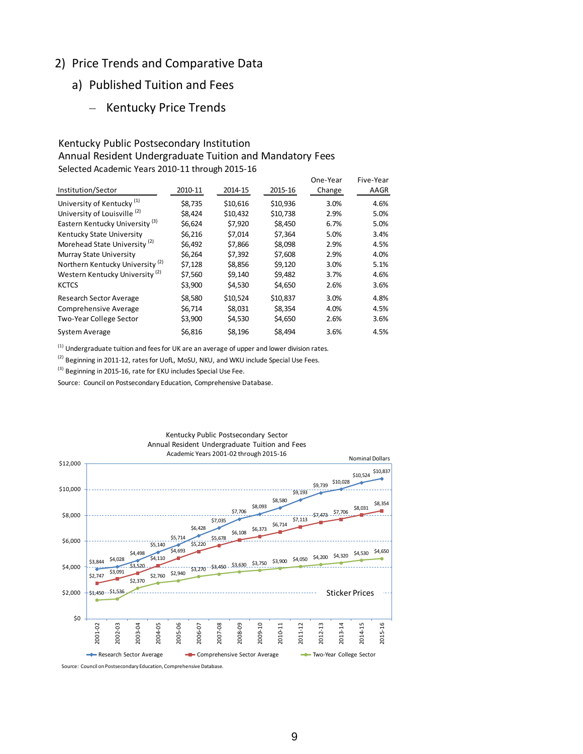### 2) Price Trends and Comparative Data

- a) Published Tuition and Fees
	- Kentucky Price Trends

### Kentucky Public Postsecondary Institution Annual Resident Undergraduate Tuition and Mandatory Fees Selected Academic Years 2010-11 through 2015-16

|                                             |         |          |          | One-Year | Five-Year |
|---------------------------------------------|---------|----------|----------|----------|-----------|
| Institution/Sector                          | 2010-11 | 2014-15  | 2015-16  | Change   | AAGR      |
| University of Kentucky <sup>(1)</sup>       | \$8,735 | \$10.616 | \$10,936 | 3.0%     | 4.6%      |
| University of Louisville <sup>(2)</sup>     | \$8.424 | \$10,432 | \$10,738 | 2.9%     | 5.0%      |
| Eastern Kentucky University <sup>(3)</sup>  | \$6.624 | \$7.920  | \$8.450  | 6.7%     | 5.0%      |
| Kentucky State University                   | \$6,216 | \$7,014  | \$7.364  | 5.0%     | 3.4%      |
| Morehead State University <sup>(2)</sup>    | \$6,492 | \$7,866  | \$8,098  | 2.9%     | 4.5%      |
| Murray State University                     | \$6,264 | \$7,392  | \$7,608  | 2.9%     | 4.0%      |
| Northern Kentucky University <sup>(2)</sup> | \$7,128 | \$8,856  | \$9,120  | 3.0%     | 5.1%      |
| Western Kentucky University <sup>(2)</sup>  | \$7,560 | \$9,140  | \$9,482  | 3.7%     | 4.6%      |
| <b>KCTCS</b>                                | \$3,900 | \$4,530  | \$4,650  | 2.6%     | 3.6%      |
| Research Sector Average                     | \$8,580 | \$10,524 | \$10,837 | 3.0%     | 4.8%      |
| Comprehensive Average                       | \$6,714 | \$8,031  | \$8,354  | 4.0%     | 4.5%      |
| Two-Year College Sector                     | \$3,900 | \$4,530  | \$4,650  | 2.6%     | 3.6%      |
| System Average                              | \$6,816 | \$8,196  | \$8,494  | 3.6%     | 4.5%      |

 $<sup>(1)</sup>$  Undergraduate tuition and fees for UK are an average of upper and lower division rates.</sup>

<sup>(2)</sup> Beginning in 2011-12, rates for UofL, MoSU, NKU, and WKU include Special Use Fees.

<sup>(3)</sup> Beginning in 2015-16, rate for EKU includes Special Use Fee.

Source: Council on Postsecondary Education, Comprehensive Database.



Source: Council on Postsecondary Education, Comprehensive Database.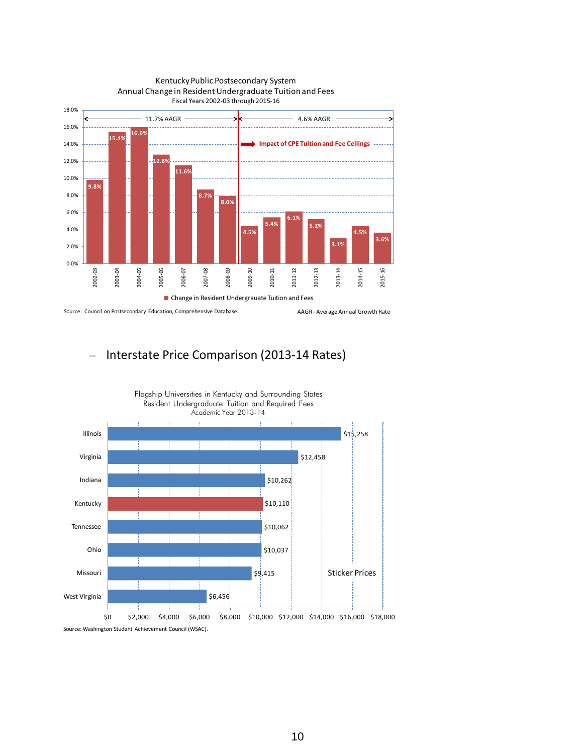

### Kentucky Public Postsecondary System Annual Change in Resident Undergraduate Tuition and Fees

Source: Council on Postsecondary Education, Comprehensive Database.

AAGR - Average Annual Growth Rate

## – Interstate Price Comparison (2013-14 Rates)

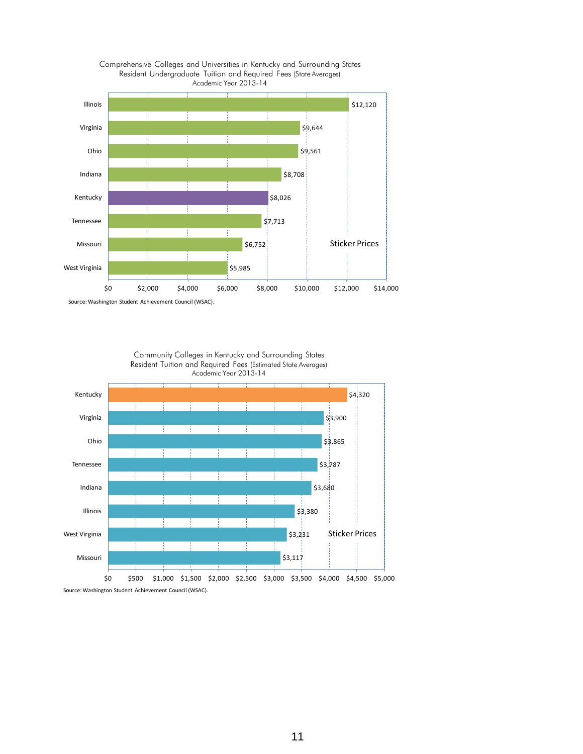



Source: Washington Student Achievement Council (WSAC).



Community Colleges in Kentucky and Surrounding States

Source: Washington Student Achievement Council (WSAC).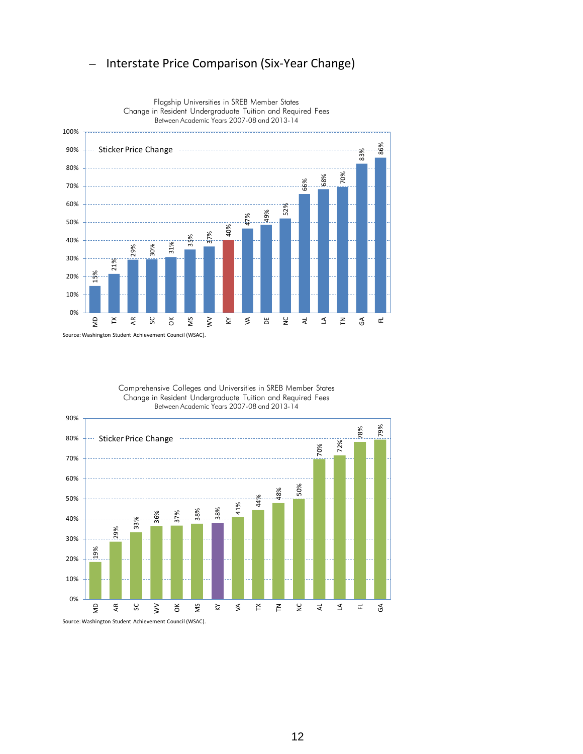### – Interstate Price Comparison (Six-Year Change)



Flagship Universities in SREB Member States Change in Resident Undergraduate Tuition and Required Fees Between Academic Years 2007-08 and 2013-14

Comprehensive Colleges and Universities in SREB Member States Change in Resident Undergraduate Tuition and Required Fees Between Academic Years 2007-08 and 2013-14



12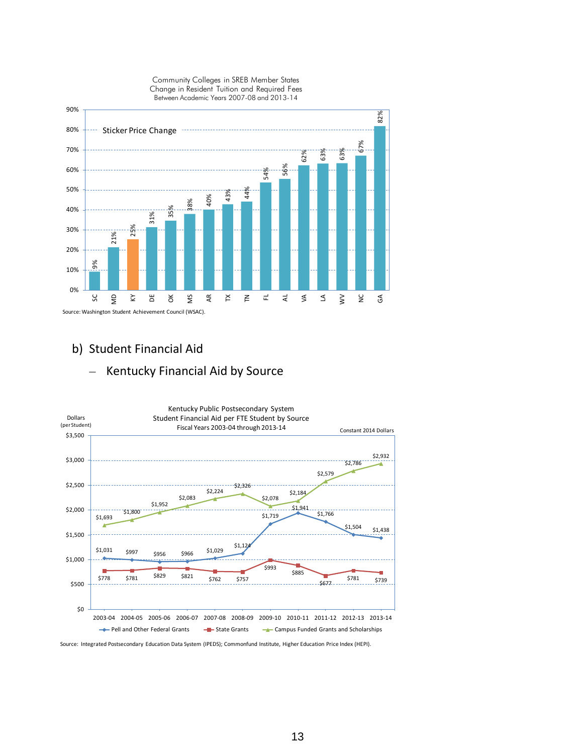

# b) Student Financial Aid



Source: Integrated Postsecondary Education Data System (IPEDS); Commonfund Institute, Higher Education Price Index (HEPI).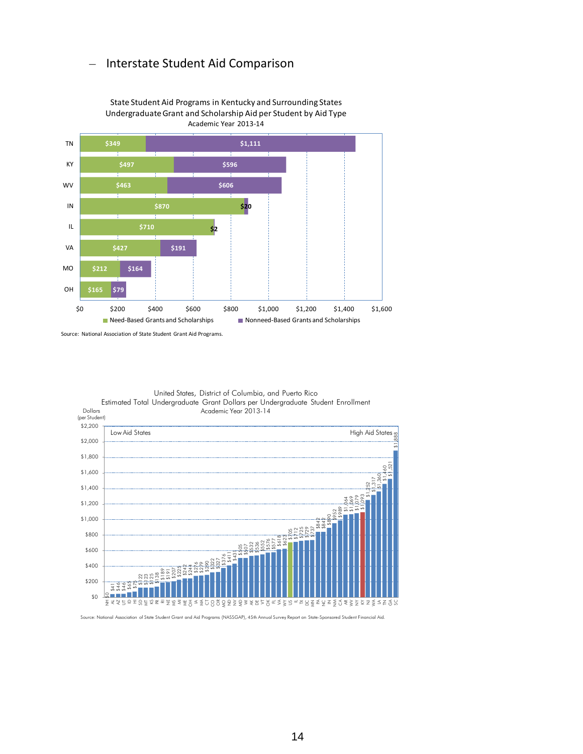### – Interstate Student Aid Comparison



State Student Aid Programs in Kentucky and Surrounding States Undergraduate Grant and Scholarship Aid per Student by Aid Type Academic Year 2013-14

Source: National Association of State Student Grant Aid Programs.



United States, District of Columbia, and Puerto Rico

Source: National Association of State Student Grant and Aid Programs (NASSGAP), 45th Annual Survey Report on State-Sponsored Student Financial Aid.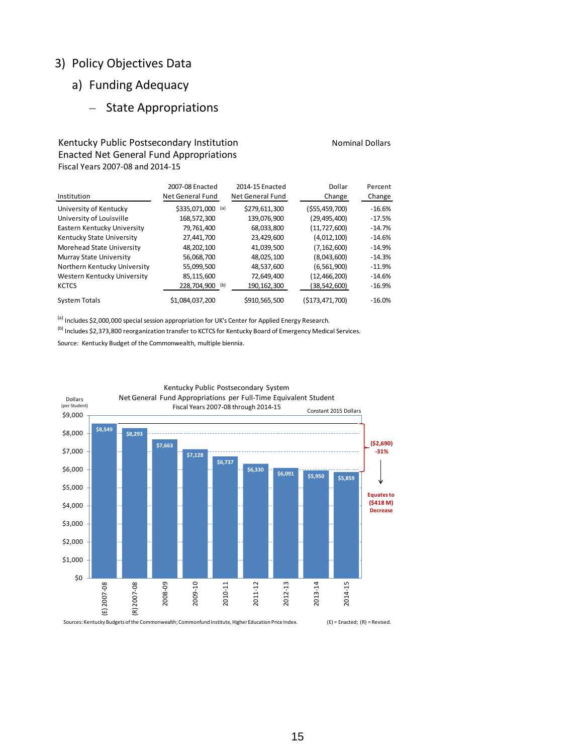### 3) Policy Objectives Data

# a) Funding Adequacy

## – State Appropriations

### Kentucky Public Postsecondary Institution Nominal Dollars Nominal Dollars Enacted Net General Fund Appropriations Fiscal Years 2007-08 and 2014-15

| Institution                    | 2007-08 Enacted<br>Net General Fund | 2014-15 Enacted<br>Net General Fund | Dollar<br>Change | Percent<br>Change |
|--------------------------------|-------------------------------------|-------------------------------------|------------------|-------------------|
| University of Kentucky         | \$335,071,000<br>(a)                | \$279,611,300                       | (555, 459, 700)  | $-16.6%$          |
| University of Louisville       | 168.572.300                         | 139,076,900                         | (29,495,400)     | $-17.5%$          |
| Eastern Kentucky University    | 79,761,400                          | 68,033,800                          | (11, 727, 600)   | $-14.7%$          |
| Kentucky State University      | 27.441.700                          | 23,429,600                          | (4,012,100)      | $-14.6%$          |
| Morehead State University      | 48,202,100                          | 41,039,500                          | (7, 162, 600)    | $-14.9%$          |
| <b>Murray State University</b> | 56,068,700                          | 48,025,100                          | (8,043,600)      | $-14.3%$          |
| Northern Kentucky University   | 55,099,500                          | 48,537,600                          | (6, 561, 900)    | $-11.9%$          |
| Western Kentucky University    | 85,115,600                          | 72,649,400                          | (12,466,200)     | $-14.6%$          |
| <b>KCTCS</b>                   | 228,704,900<br>(b)                  | 190,162,300                         | (38, 542, 600)   | $-16.9%$          |
| <b>System Totals</b>           | \$1,084,037,200                     | \$910,565,500                       | (\$173,471,700)  | $-16.0%$          |

<sup>(a)</sup> Includes \$2,000,000 special session appropriation for UK's Center for Applied Energy Research.

<sup>(b)</sup> Includes \$2,373,800 reorganization transfer to KCTCS for Kentucky Board of Emergency Medical Services.

Source: Kentucky Budget of the Commonwealth, multiple biennia.



# Kentucky Public Postsecondary System

Sources: Kentucky Budgets of the Commonwealth; Commonfund Institute, Higher Education Price Index. (E) = Enacted; (R) = Revised.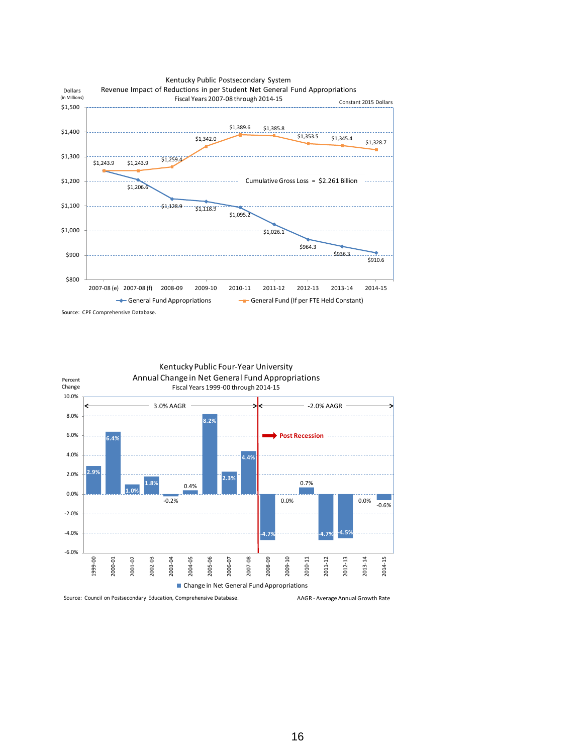





Source: Council on Postsecondary Education, Comprehensive Database.

AAGR - Average Annual Growth Rate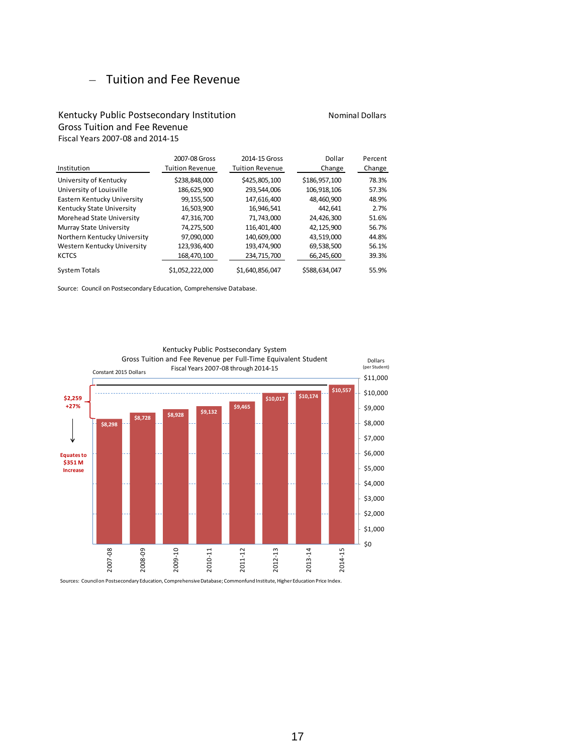### – Tuition and Fee Revenue

### Kentucky Public Postsecondary Institution Nominal Dollars Nominal Dollars Gross Tuition and Fee Revenue Fiscal Years 2007-08 and 2014-15

2007-08 Gross 2014-15 Gross Dollar Percent Institution Tuition Revenue Tuition Revenue Change Change University of Kentucky  $$238,848,000$   $$425,805,100$   $$186,957,100$  78.3% University of Louisville 186,625,900 293,544,006 106,918,106 57.3% Eastern Kentucky University 99,155,500 147,616,400 48,460,900 48.9% Kentucky State University 16,503,900 16,946,541 442,641 2.7% Morehead State University  $\begin{array}{cccc} 47,316,700 & 71,743,000 & 24,426,300 & 51.6\% \\ \text{Murray State University} & 74,275,500 & 116,401,400 & 42,125,900 & 56.7\% \end{array}$ Murray State University 74,275,500 116,401,400 42,125,900 56.7% Northern Kentucky University 97,090,000 140,609,000 43,519,000 44.8% Western Kentucky University 123,936,400 193,474,900 69,538,500 56.1% KCTCS 168,470,100 234,715,700 66,245,600 39.3% System Totals  $$1,052,222,000$   $$1,640,856,047$   $$588,634,047$  55.9%

Source: Council on Postsecondary Education, Comprehensive Database.



Kentucky Public Postsecondary System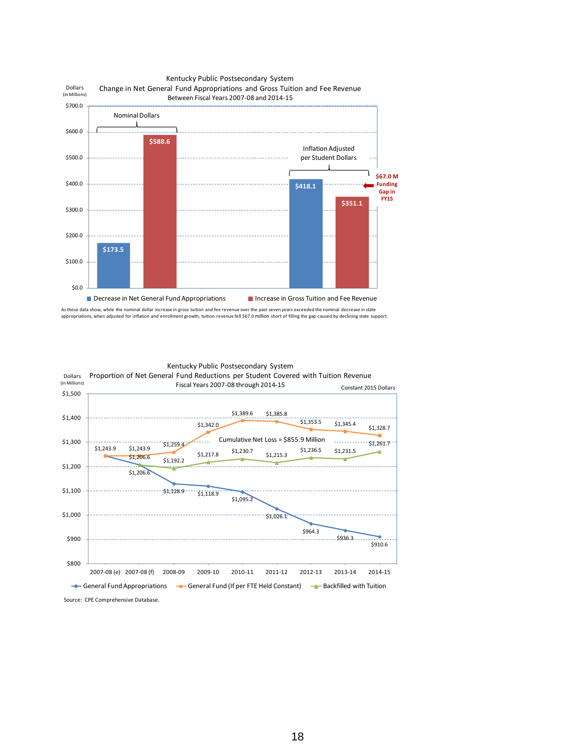

As these data show, while the nominal dollar increase in gross tuition and fee revenue over the past seven years exceeded the nominal decrease in state appropriations, when adjusted for inflation and enrollment growth, tuition revenue fell \$67.0 million short of filling the gap caused by declining state support.

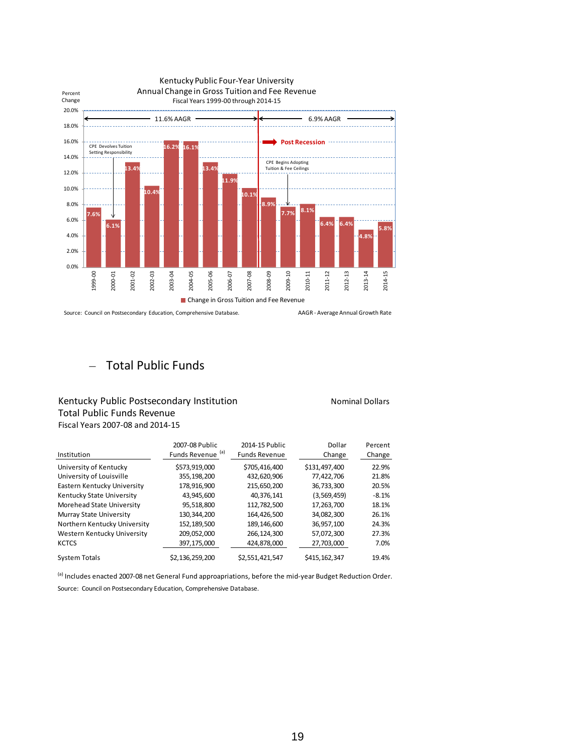

Source: Council on Postsecondary Education, Comprehensive Database.

AAGR - Average Annual Growth Rate

### – Total Public Funds

### Kentucky Public Postsecondary Institution Nominal Dollars Nominal Dollars Total Public Funds Revenue Fiscal Years 2007-08 and 2014-15

2007-08 Public 2014-15 Public Dollar Percent Institution **Funds Revenue** (a) Funds Revenue Change Change Change University of Kentucky  $$573,919,000$   $$705,416,400$   $$131,497,400$  22.9% University of Louisville 355,198,200 432,620,906 77,422,706 21.8% Eastern Kentucky University 178,916,900 215,650,200 36,733,300 20.5% Kentucky State University 43,945,600 40,376,141 (3,569,459) -8.1% Morehead State University 95,518,800 112,782,500 17,263,700 18.1% Murray State University 130,344,200 164,426,500 34,082,300 26.1% Northern Kentucky University 152,189,500 189,146,600 36,957,100 24.3% Western Kentucky University 209,052,000 266,124,300 57,072,300 27.3% KCTCS 397,175,000 424,878,000 27,703,000 7.0% System Totals  $$2,136,259,200$   $$2,551,421,547$   $$415,162,347$  19.4%

<sup>(a)</sup> Includes enacted 2007-08 net General Fund approapriations, before the mid-year Budget Reduction Order. Source: Council on Postsecondary Education, Comprehensive Database.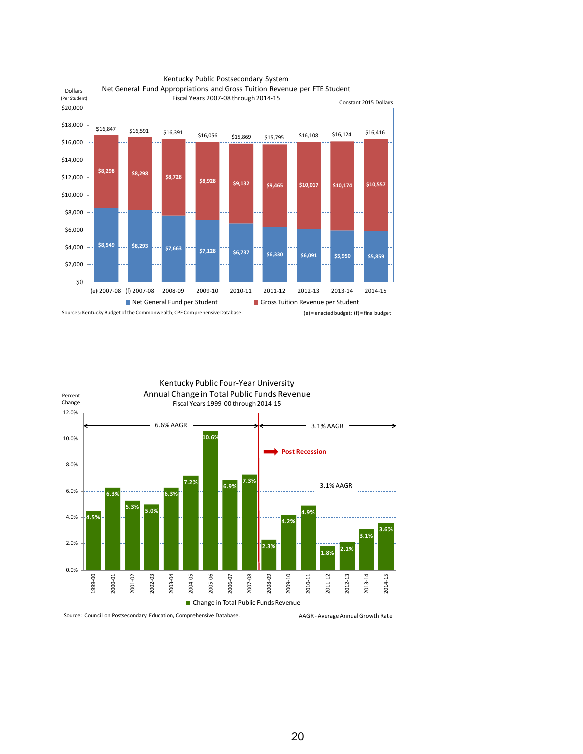





Source: Council on Postsecondary Education, Comprehensive Database.

AAGR - Average Annual Growth Rate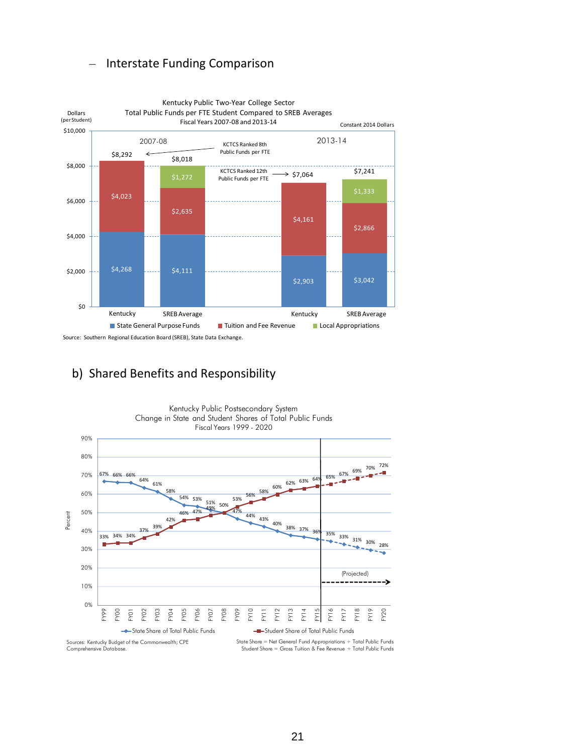### – Interstate Funding Comparison



# b) Shared Benefits and Responsibility

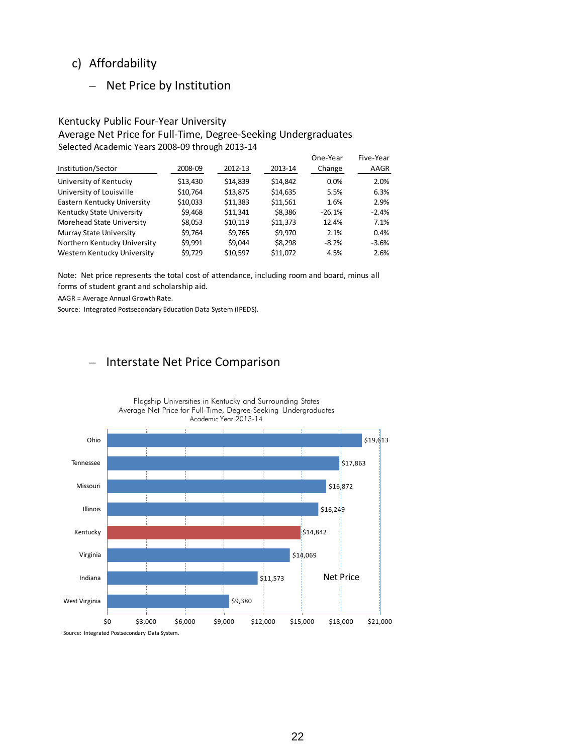### c) Affordability

### – Net Price by Institution

### Kentucky Public Four-Year University Average Net Price for Full-Time, Degree-Seeking Undergraduates Selected Academic Years 2008-09 through 2013-14

|                              |          |          |          | One-Year | Five-Year |
|------------------------------|----------|----------|----------|----------|-----------|
| Institution/Sector           | 2008-09  | 2012-13  | 2013-14  | Change   | AAGR      |
| University of Kentucky       | \$13,430 | \$14,839 | \$14,842 | 0.0%     | 2.0%      |
| University of Louisville     | \$10,764 | \$13,875 | \$14,635 | 5.5%     | 6.3%      |
| Eastern Kentucky University  | \$10,033 | \$11,383 | \$11,561 | 1.6%     | 2.9%      |
| Kentucky State University    | \$9,468  | \$11,341 | \$8,386  | $-26.1%$ | $-2.4%$   |
| Morehead State University    | \$8,053  | \$10,119 | \$11,373 | 12.4%    | 7.1%      |
| Murray State University      | \$9,764  | \$9,765  | \$9,970  | 2.1%     | 0.4%      |
| Northern Kentucky University | \$9,991  | \$9.044  | \$8,298  | $-8.2%$  | $-3.6%$   |
| Western Kentucky University  | \$9,729  | \$10,597 | \$11,072 | 4.5%     | 2.6%      |

Note: Net price represents the total cost of attendance, including room and board, minus all forms of student grant and scholarship aid.

AAGR = Average Annual Growth Rate.

Source: Integrated Postsecondary Education Data System (IPEDS).

### – Interstate Net Price Comparison



Flagship Universities in Kentucky and Surrounding States

Source: Integrated Postsecondary Data System.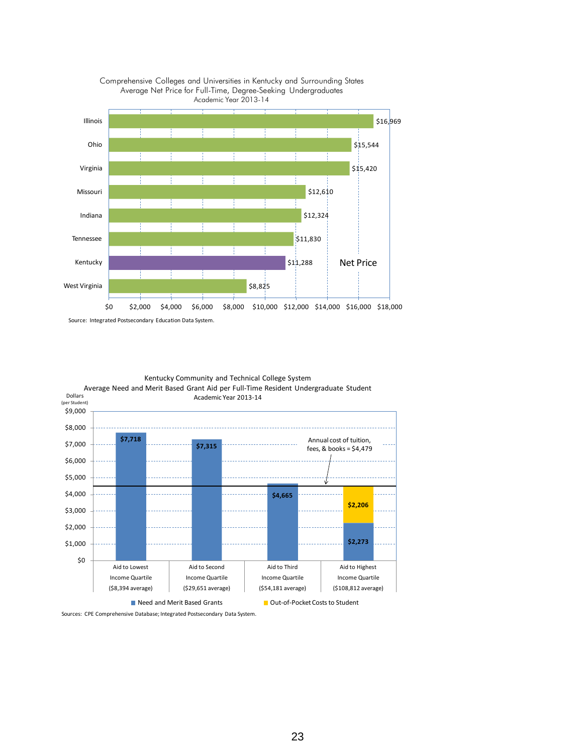



Source: Integrated Postsecondary Education Data System.



Kentucky Community and Technical College System

Sources: CPE Comprehensive Database; Integrated Postsecondary Data System.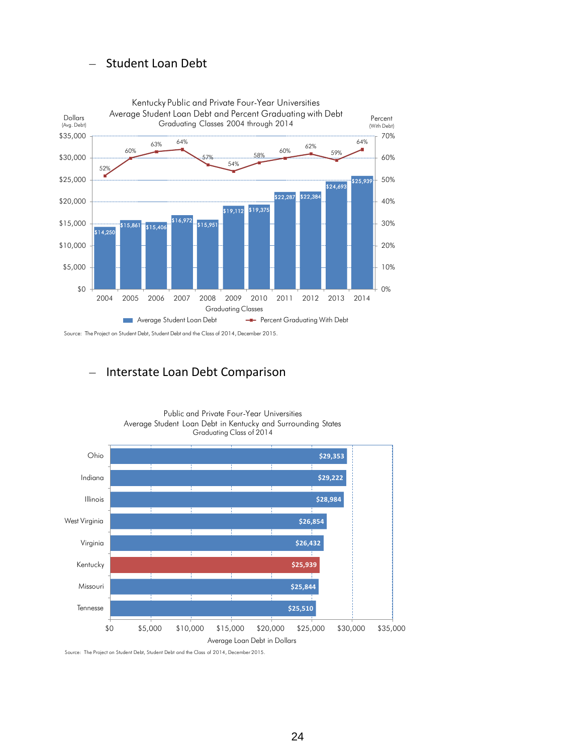### – Student Loan Debt



Source: The Project on Student Debt, Student Debt and the Class of 2014, December 2015.

### – Interstate Loan Debt Comparison



Public and Private Four-Year Universities Average Student Loan Debt in Kentucky and Surrounding States

Source: The Project on Student Debt, Student Debt and the Class of 2014, December 2015.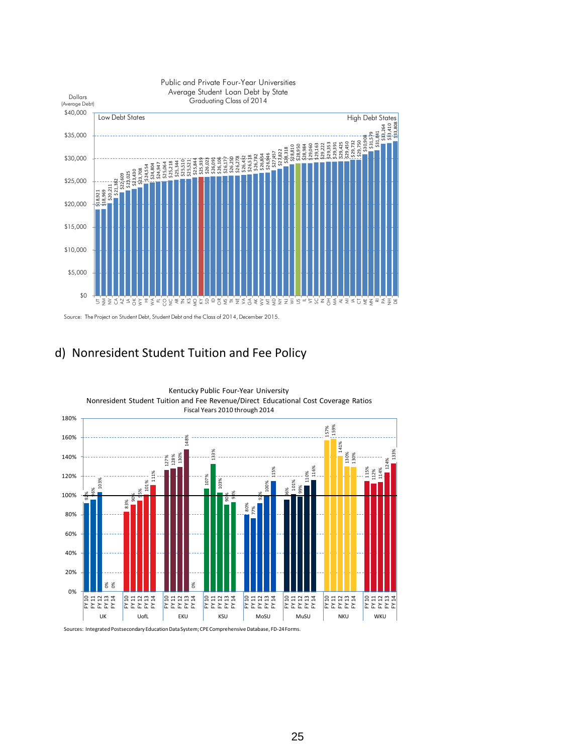

Source: The Project on Student Debt, Student Debt and the Class of 2014, December 2015.



Sources: Integrated Postsecondary Education Data System; CPE Comprehensive Database, FD-24 Forms.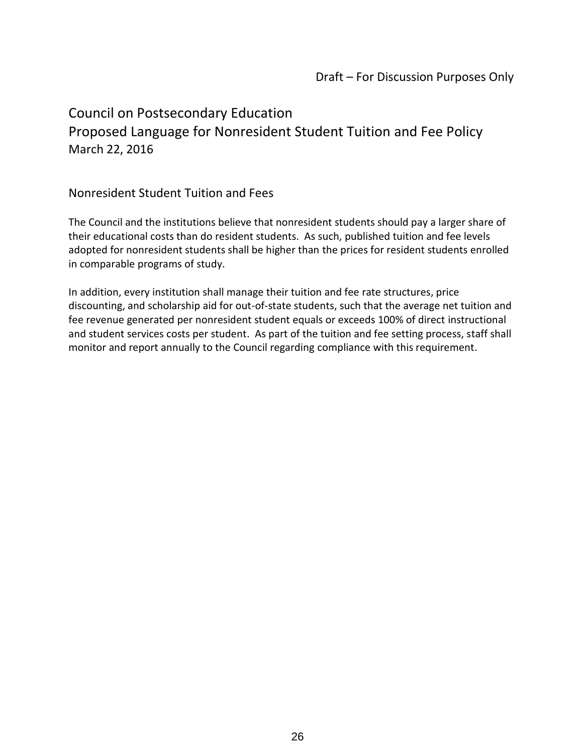# Council on Postsecondary Education Proposed Language for Nonresident Student Tuition and Fee Policy March 22, 2016

## Nonresident Student Tuition and Fees

The Council and the institutions believe that nonresident students should pay a larger share of their educational costs than do resident students. As such, published tuition and fee levels adopted for nonresident students shall be higher than the prices for resident students enrolled in comparable programs of study.

In addition, every institution shall manage their tuition and fee rate structures, price discounting, and scholarship aid for out-of-state students, such that the average net tuition and fee revenue generated per nonresident student equals or exceeds 100% of direct instructional and student services costs per student. As part of the tuition and fee setting process, staff shall monitor and report annually to the Council regarding compliance with this requirement.